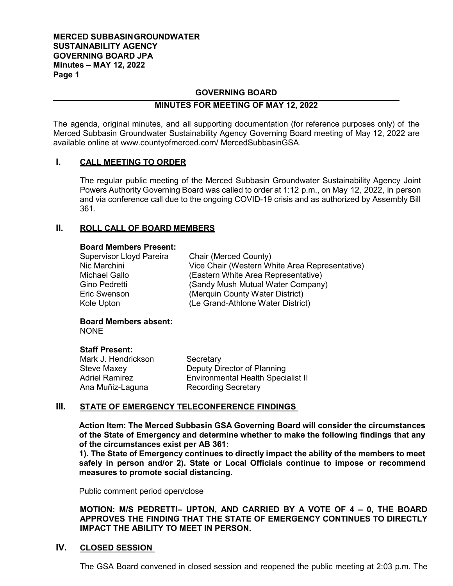### **MERCED SUBBASINGROUNDWATER SUSTAINABILITY AGENCY GOVERNING BOARD JPA Minutes – MAY 12, 2022 Page 1**

#### **GOVERNING BOARD**

#### **MINUTES FOR MEETING OF MAY 12, 2022**

The agenda, original minutes, and all supporting documentation (for reference purposes only) of the Merced Subbasin Groundwater Sustainability Agency Governing Board meeting of May 12, 2022 are available online at [www.countyofmerced.com/](http://www.countyofmerced.com/) MercedSubbasinGSA.

### **I. CALL MEETING TO ORDER**

The regular public meeting of the Merced Subbasin Groundwater Sustainability Agency Joint Powers Authority Governing Board was called to order at 1:12 p.m., on May 12, 2022, in person and via conference call due to the ongoing COVID-19 crisis and as authorized by Assembly Bill 361.

## **II. ROLL CALL OF BOARD MEMBERS**

#### **Board Members Present:**

| <b>Supervisor Lloyd Pareira</b> | Chair (Merced County)                          |
|---------------------------------|------------------------------------------------|
| Nic Marchini                    | Vice Chair (Western White Area Representative) |
| Michael Gallo                   | (Eastern White Area Representative)            |
| Gino Pedretti                   | (Sandy Mush Mutual Water Company)              |
| <b>Eric Swenson</b>             | (Merquin County Water District)                |
| Kole Upton                      | (Le Grand-Athlone Water District)              |

# **Board Members absent:**

NONE

#### **Staff Present:**

| Mark J. Hendrickson   | Secretary                                 |
|-----------------------|-------------------------------------------|
| Steve Maxey           | Deputy Director of Planning               |
| <b>Adriel Ramirez</b> | <b>Environmental Health Specialist II</b> |
| Ana Muñiz-Laguna      | <b>Recording Secretary</b>                |

### **III. STATE OF EMERGENCY TELECONFERENCE FINDINGS**

**Action Item: The Merced Subbasin GSA Governing Board will consider the circumstances of the State of Emergency and determine whether to make the following findings that any of the circumstances exist per AB 361:**

**1). The State of Emergency continues to directly impact the ability of the members to meet safely in person and/or 2). State or Local Officials continue to impose or recommend measures to promote social distancing.**

Public comment period open/close

**MOTION: M/S PEDRETTI– UPTON, AND CARRIED BY A VOTE OF 4 – 0, THE BOARD APPROVES THE FINDING THAT THE STATE OF EMERGENCY CONTINUES TO DIRECTLY IMPACT THE ABILITY TO MEET IN PERSON.** 

#### **IV. CLOSED SESSION**

The GSA Board convened in closed session and reopened the public meeting at 2:03 p.m. The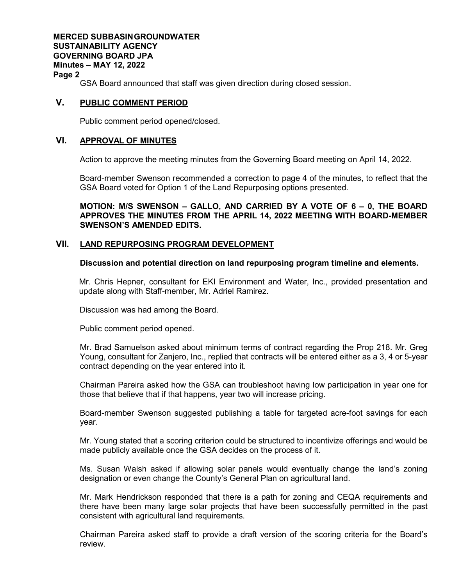**MERCED SUBBASINGROUNDWATER SUSTAINABILITY AGENCY GOVERNING BOARD JPA Minutes – MAY 12, 2022 Page 2**

GSA Board announced that staff was given direction during closed session.

### **V. PUBLIC COMMENT PERIOD**

Public comment period opened/closed.

### **VI. APPROVAL OF MINUTES**

Action to approve the meeting minutes from the Governing Board meeting on April 14, 2022.

Board-member Swenson recommended a correction to page 4 of the minutes, to reflect that the GSA Board voted for Option 1 of the Land Repurposing options presented.

**MOTION: M/S SWENSON – GALLO, AND CARRIED BY A VOTE OF 6 – 0, THE BOARD APPROVES THE MINUTES FROM THE APRIL 14, 2022 MEETING WITH BOARD-MEMBER SWENSON'S AMENDED EDITS.**

### **VII. LAND REPURPOSING PROGRAM DEVELOPMENT**

### **Discussion and potential direction on land repurposing program timeline and elements.**

Mr. Chris Hepner, consultant for EKI Environment and Water, Inc., provided presentation and update along with Staff-member, Mr. Adriel Ramirez.

Discussion was had among the Board.

Public comment period opened.

Mr. Brad Samuelson asked about minimum terms of contract regarding the Prop 218. Mr. Greg Young, consultant for Zanjero, Inc., replied that contracts will be entered either as a 3, 4 or 5-year contract depending on the year entered into it.

Chairman Pareira asked how the GSA can troubleshoot having low participation in year one for those that believe that if that happens, year two will increase pricing.

Board-member Swenson suggested publishing a table for targeted acre-foot savings for each year.

Mr. Young stated that a scoring criterion could be structured to incentivize offerings and would be made publicly available once the GSA decides on the process of it.

Ms. Susan Walsh asked if allowing solar panels would eventually change the land's zoning designation or even change the County's General Plan on agricultural land.

Mr. Mark Hendrickson responded that there is a path for zoning and CEQA requirements and there have been many large solar projects that have been successfully permitted in the past consistent with agricultural land requirements.

Chairman Pareira asked staff to provide a draft version of the scoring criteria for the Board's review.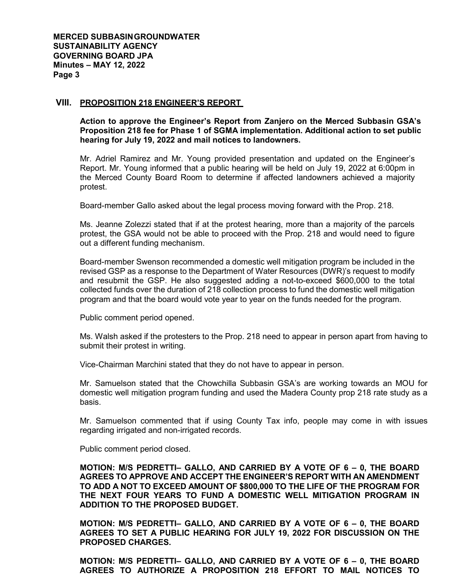#### **VIII. PROPOSITION 218 ENGINEER'S REPORT**

**Action to approve the Engineer's Report from Zanjero on the Merced Subbasin GSA's Proposition 218 fee for Phase 1 of SGMA implementation. Additional action to set public hearing for July 19, 2022 and mail notices to landowners.** 

Mr. Adriel Ramirez and Mr. Young provided presentation and updated on the Engineer's Report. Mr. Young informed that a public hearing will be held on July 19, 2022 at 6:00pm in the Merced County Board Room to determine if affected landowners achieved a majority protest.

Board-member Gallo asked about the legal process moving forward with the Prop. 218.

Ms. Jeanne Zolezzi stated that if at the protest hearing, more than a majority of the parcels protest, the GSA would not be able to proceed with the Prop. 218 and would need to figure out a different funding mechanism.

Board-member Swenson recommended a domestic well mitigation program be included in the revised GSP as a response to the Department of Water Resources (DWR)'s request to modify and resubmit the GSP. He also suggested adding a not-to-exceed \$600,000 to the total collected funds over the duration of 218 collection process to fund the domestic well mitigation program and that the board would vote year to year on the funds needed for the program.

Public comment period opened.

Ms. Walsh asked if the protesters to the Prop. 218 need to appear in person apart from having to submit their protest in writing.

Vice-Chairman Marchini stated that they do not have to appear in person.

Mr. Samuelson stated that the Chowchilla Subbasin GSA's are working towards an MOU for domestic well mitigation program funding and used the Madera County prop 218 rate study as a basis.

Mr. Samuelson commented that if using County Tax info, people may come in with issues regarding irrigated and non-irrigated records.

Public comment period closed.

**MOTION: M/S PEDRETTI– GALLO, AND CARRIED BY A VOTE OF 6 – 0, THE BOARD AGREES TO APPROVE AND ACCEPT THE ENGINEER'S REPORT WITH AN AMENDMENT TO ADD A NOT TO EXCEED AMOUNT OF \$800,000 TO THE LIFE OF THE PROGRAM FOR THE NEXT FOUR YEARS TO FUND A DOMESTIC WELL MITIGATION PROGRAM IN ADDITION TO THE PROPOSED BUDGET.** 

**MOTION: M/S PEDRETTI– GALLO, AND CARRIED BY A VOTE OF 6 – 0, THE BOARD AGREES TO SET A PUBLIC HEARING FOR JULY 19, 2022 FOR DISCUSSION ON THE PROPOSED CHARGES.** 

**MOTION: M/S PEDRETTI– GALLO, AND CARRIED BY A VOTE OF 6 – 0, THE BOARD AGREES TO AUTHORIZE A PROPOSITION 218 EFFORT TO MAIL NOTICES TO**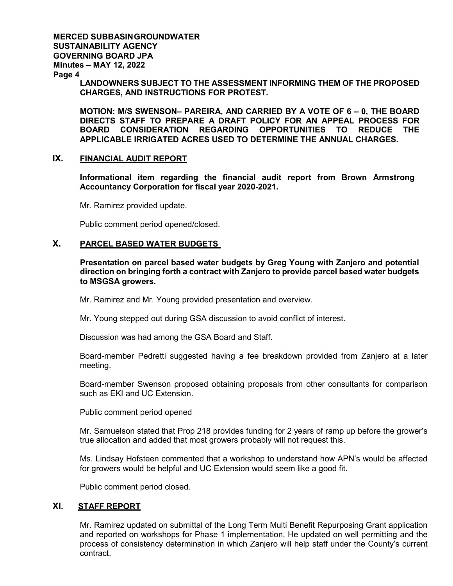## **MERCED SUBBASINGROUNDWATER SUSTAINABILITY AGENCY GOVERNING BOARD JPA Minutes – MAY 12, 2022**

**Page 4**

**LANDOWNERS SUBJECT TO THE ASSESSMENT INFORMING THEM OF THE PROPOSED CHARGES, AND INSTRUCTIONS FOR PROTEST.**

**MOTION: M/S SWENSON– PAREIRA, AND CARRIED BY A VOTE OF 6 – 0, THE BOARD DIRECTS STAFF TO PREPARE A DRAFT POLICY FOR AN APPEAL PROCESS FOR BOARD CONSIDERATION REGARDING OPPORTUNITIES TO REDUCE THE APPLICABLE IRRIGATED ACRES USED TO DETERMINE THE ANNUAL CHARGES.** 

### **IX. FINANCIAL AUDIT REPORT**

**Informational item regarding the financial audit report from Brown Armstrong Accountancy Corporation for fiscal year 2020-2021.** 

Mr. Ramirez provided update.

Public comment period opened/closed.

## **X. PARCEL BASED WATER BUDGETS**

**Presentation on parcel based water budgets by Greg Young with Zanjero and potential direction on bringing forth a contract with Zanjero to provide parcel based water budgets to MSGSA growers.** 

Mr. Ramirez and Mr. Young provided presentation and overview.

Mr. Young stepped out during GSA discussion to avoid conflict of interest.

Discussion was had among the GSA Board and Staff.

Board-member Pedretti suggested having a fee breakdown provided from Zanjero at a later meeting.

Board-member Swenson proposed obtaining proposals from other consultants for comparison such as EKI and UC Extension.

Public comment period opened

Mr. Samuelson stated that Prop 218 provides funding for 2 years of ramp up before the grower's true allocation and added that most growers probably will not request this.

Ms. Lindsay Hofsteen commented that a workshop to understand how APN's would be affected for growers would be helpful and UC Extension would seem like a good fit.

Public comment period closed.

## **XI. STAFF REPORT**

Mr. Ramirez updated on submittal of the Long Term Multi Benefit Repurposing Grant application and reported on workshops for Phase 1 implementation. He updated on well permitting and the process of consistency determination in which Zanjero will help staff under the County's current contract.